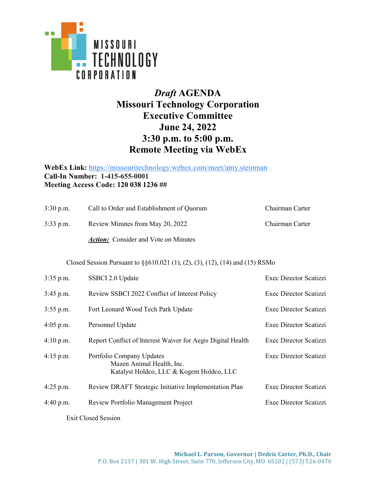

## *Draft* **AGENDA Missouri Technology Corporation Executive Committee June 24, 2022 3:30 p.m. to 5:00 p.m. Remote Meeting via WebEx**

## **WebEx Link:** [https://missouritechnology.webex.com/meet/amy.steinman](https://www.google.com/url?q=https://missouritechnology.webex.com/meet/amy.steinman&sa=D&source=calendar&usd=2&usg=AOvVaw3vb6aZhBF_0BUxFxpWQdTw) **Call-In Number: 1-415-655-0001 Meeting Access Code: 120 038 1236 ##**

| $3:30$ p.m. | Call to Order and Establishment of Quorum   | Chairman Carter |
|-------------|---------------------------------------------|-----------------|
| $3:33$ p.m. | Review Minutes from May 20, 2022            | Chairman Carter |
|             | <i>Action:</i> Consider and Vote on Minutes |                 |

Closed Session Pursuant to §§610.021 (1), (2), (3), (12), (14) and (15) RSMo

| $3:35$ p.m. | SSBCI 2.0 Update                                                                                    | Exec Director Scatizzi |
|-------------|-----------------------------------------------------------------------------------------------------|------------------------|
| $3:45$ p.m. | Review SSBCI 2022 Conflict of Interest Policy                                                       | Exec Director Scatizzi |
| $3:55$ p.m. | Fort Leonard Wood Tech Park Update                                                                  | Exec Director Scatizzi |
| $4:05$ p.m. | Personnel Update                                                                                    | Exec Director Scatizzi |
| 4:10 p.m.   | Report Conflict of Interest Waiver for Aegis Digital Health                                         | Exec Director Scatizzi |
| $4:15$ p.m. | Portfolio Company Updates<br>Mazen Animal Health, Inc.<br>Katalyst Holdco, LLC & Kogent Holdco, LLC | Exec Director Scatizzi |
| $4:25$ p.m. | Review DRAFT Strategic Initiative Implementation Plan                                               | Exec Director Scatizzi |
| 4:40 p.m.   | Review Portfolio Management Project                                                                 | Exec Director Scatizzi |
|             |                                                                                                     |                        |

Exit Closed Session